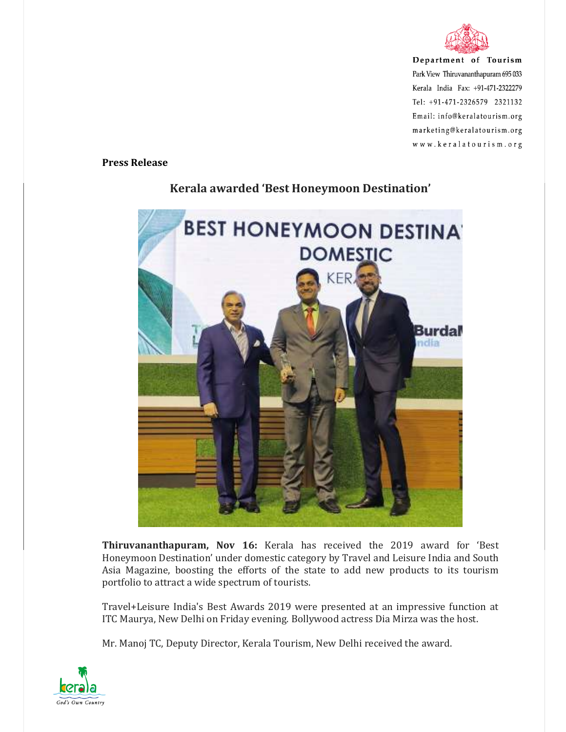

Department of Tourism Park View Thiruvananthapuram 695 033 Kerala India Fax: +91-471-2322279 Tel: +91-471-2326579 2321132 Email: info@keralatourism.org marketing@keralatourism.org www.keralatourism.org

**Press Release** 



## **Kerala awarded 'Best Honeymoon Destination'**

**Thiruvananthapuram, Nov 16:** Kerala has received the 2019 award for 'Best Honeymoon Destination' under domestic category by Travel and Leisure India and South Asia Magazine, boosting the efforts of the state to add new products to its tourism portfolio to attract a wide spectrum of tourists.

Travel+Leisure India's Best Awards 2019 were presented at an impressive function at ITC Maurya, New Delhi on Friday evening. Bollywood actress Dia Mirza was the host.

Mr. Manoj TC, Deputy Director, Kerala Tourism, New Delhi received the award.